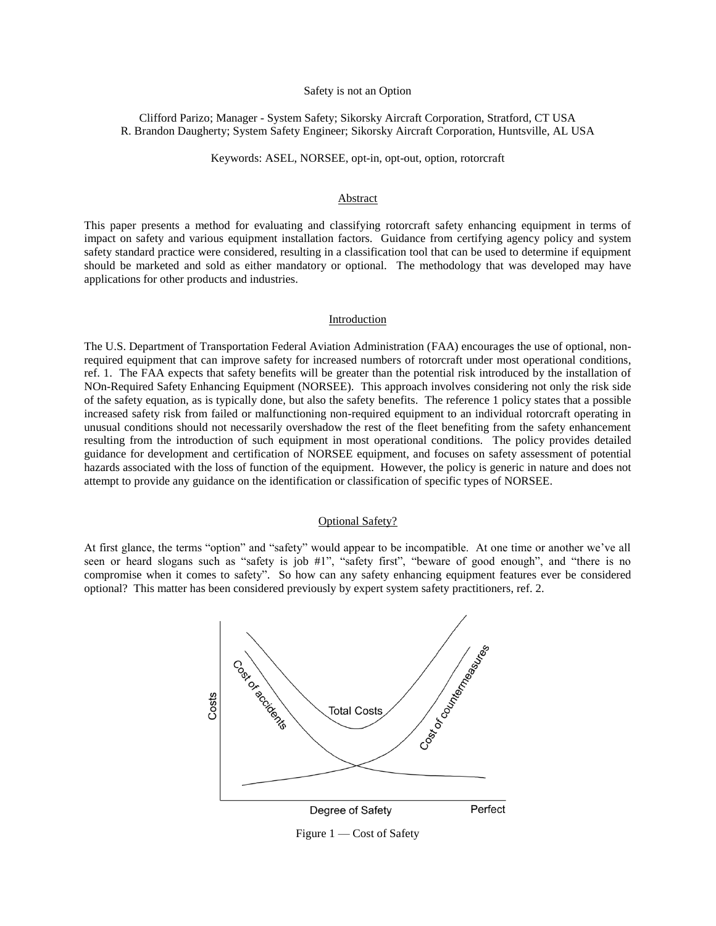### Safety is not an Option

Clifford Parizo; Manager - System Safety; Sikorsky Aircraft Corporation, Stratford, CT USA R. Brandon Daugherty; System Safety Engineer; Sikorsky Aircraft Corporation, Huntsville, AL USA

Keywords: ASEL, NORSEE, opt-in, opt-out, option, rotorcraft

### Abstract

This paper presents a method for evaluating and classifying rotorcraft safety enhancing equipment in terms of impact on safety and various equipment installation factors. Guidance from certifying agency policy and system safety standard practice were considered, resulting in a classification tool that can be used to determine if equipment should be marketed and sold as either mandatory or optional. The methodology that was developed may have applications for other products and industries.

#### Introduction

The U.S. Department of Transportation Federal Aviation Administration (FAA) encourages the use of optional, nonrequired equipment that can improve safety for increased numbers of rotorcraft under most operational conditions, ref. 1. The FAA expects that safety benefits will be greater than the potential risk introduced by the installation of NOn-Required Safety Enhancing Equipment (NORSEE). This approach involves considering not only the risk side of the safety equation, as is typically done, but also the safety benefits. The reference 1 policy states that a possible increased safety risk from failed or malfunctioning non-required equipment to an individual rotorcraft operating in unusual conditions should not necessarily overshadow the rest of the fleet benefiting from the safety enhancement resulting from the introduction of such equipment in most operational conditions. The policy provides detailed guidance for development and certification of NORSEE equipment, and focuses on safety assessment of potential hazards associated with the loss of function of the equipment. However, the policy is generic in nature and does not attempt to provide any guidance on the identification or classification of specific types of NORSEE.

### Optional Safety?

At first glance, the terms "option" and "safety" would appear to be incompatible. At one time or another we've all seen or heard slogans such as "safety is job #1", "safety first", "beware of good enough", and "there is no compromise when it comes to safety". So how can any safety enhancing equipment features ever be considered optional? This matter has been considered previously by expert system safety practitioners, ref. 2.



Figure 1 — Cost of Safety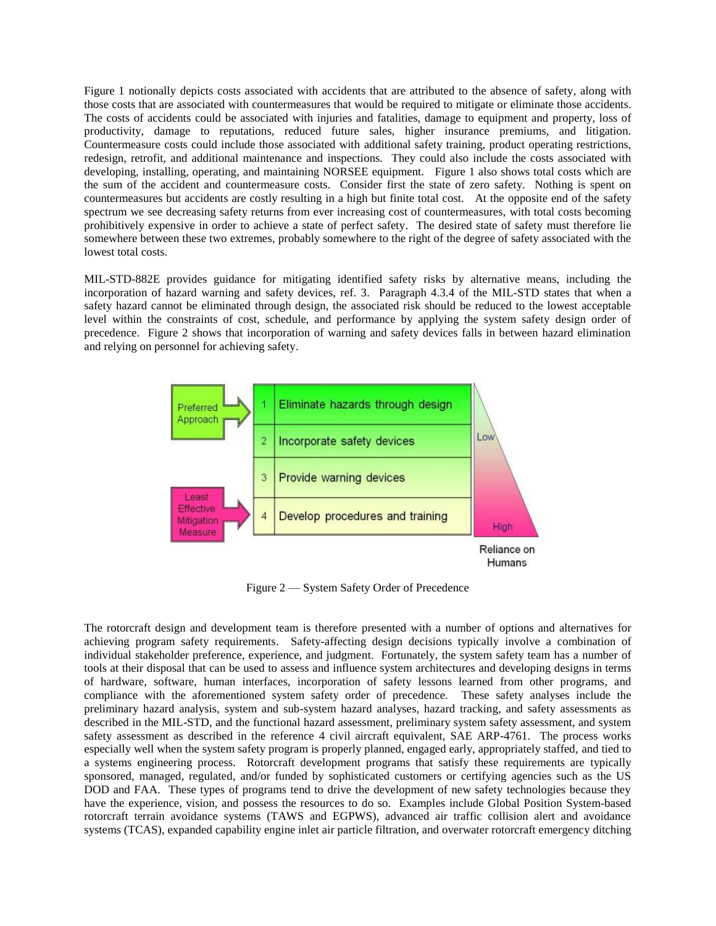Figure 1 notionally depicts costs associated with accidents that are attributed to the absence of safety, along with those costs that are associated with countermeasures that would be required to mitigate or eliminate those accidents. The costs of accidents could be associated with injuries and fatalities, damage to equipment and property, loss of productivity, damage to reputations, reduced future sales, higher insurance premiums, and litigation. Countermeasure costs could include those associated with additional safety training, product operating restrictions, redesign, retrofit, and additional maintenance and inspections. They could also include the costs associated with developing, installing, operating, and maintaining NORSEE equipment. Figure 1 also shows total costs which are the sum of the accident and countermeasure costs. Consider first the state of zero safety. Nothing is spent on countermeasures but accidents are costly resulting in a high but finite total cost. At the opposite end of the safety spectrum we see decreasing safety returns from ever increasing cost of countermeasures, with total costs becoming prohibitively expensive in order to achieve a state of perfect safety. The desired state of safety must therefore lie somewhere between these two extremes, probably somewhere to the right of the degree of safety associated with the lowest total costs.

MIL-STD-882E provides guidance for mitigating identified safety risks by alternative means, including the incorporation of hazard warning and safety devices, ref. 3. Paragraph 4.3.4 of the MIL-STD states that when a safety hazard cannot be eliminated through design, the associated risk should be reduced to the lowest acceptable level within the constraints of cost, schedule, and performance by applying the system safety design order of precedence. Figure 2 shows that incorporation of warning and safety devices falls in between hazard elimination and relying on personnel for achieving safety.



Figure 2 — System Safety Order of Precedence

The rotorcraft design and development team is therefore presented with a number of options and alternatives for achieving program safety requirements. Safety-affecting design decisions typically involve a combination of individual stakeholder preference, experience, and judgment. Fortunately, the system safety team has a number of tools at their disposal that can be used to assess and influence system architectures and developing designs in terms of hardware, software, human interfaces, incorporation of safety lessons learned from other programs, and compliance with the aforementioned system safety order of precedence. These safety analyses include the preliminary hazard analysis, system and sub-system hazard analyses, hazard tracking, and safety assessments as described in the MIL-STD, and the functional hazard assessment, preliminary system safety assessment, and system safety assessment as described in the reference 4 civil aircraft equivalent, SAE ARP-4761. The process works especially well when the system safety program is properly planned, engaged early, appropriately staffed, and tied to a systems engineering process. Rotorcraft development programs that satisfy these requirements are typically sponsored, managed, regulated, and/or funded by sophisticated customers or certifying agencies such as the US DOD and FAA. These types of programs tend to drive the development of new safety technologies because they have the experience, vision, and possess the resources to do so. Examples include Global Position System-based rotorcraft terrain avoidance systems (TAWS and EGPWS), advanced air traffic collision alert and avoidance systems (TCAS), expanded capability engine inlet air particle filtration, and overwater rotorcraft emergency ditching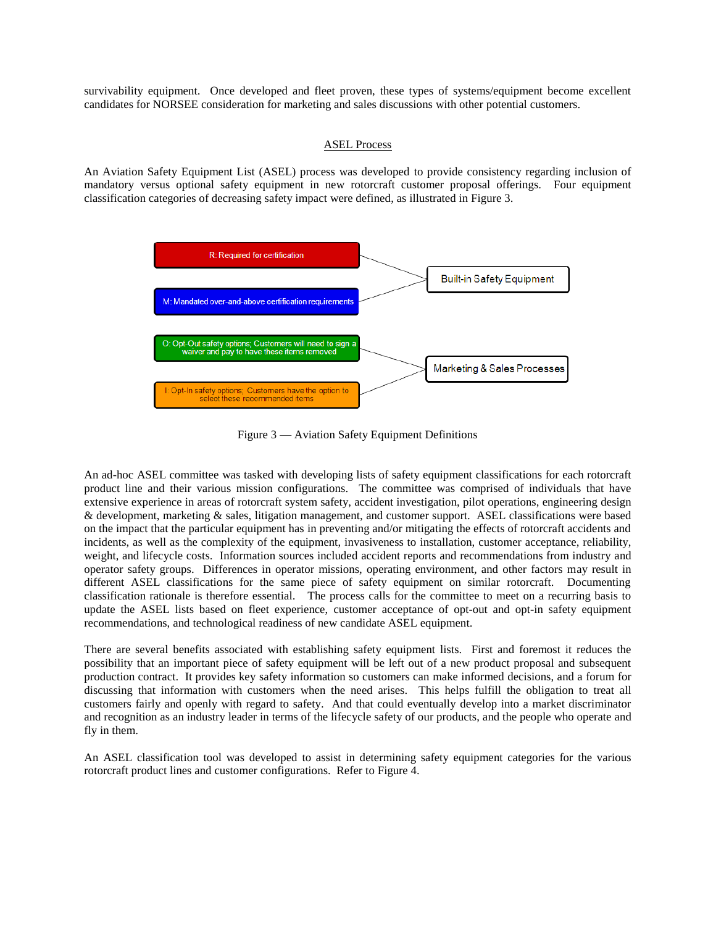survivability equipment. Once developed and fleet proven, these types of systems/equipment become excellent candidates for NORSEE consideration for marketing and sales discussions with other potential customers.

# ASEL Process

An Aviation Safety Equipment List (ASEL) process was developed to provide consistency regarding inclusion of mandatory versus optional safety equipment in new rotorcraft customer proposal offerings. Four equipment classification categories of decreasing safety impact were defined, as illustrated in Figure 3.



Figure 3 — Aviation Safety Equipment Definitions

An ad-hoc ASEL committee was tasked with developing lists of safety equipment classifications for each rotorcraft product line and their various mission configurations. The committee was comprised of individuals that have extensive experience in areas of rotorcraft system safety, accident investigation, pilot operations, engineering design & development, marketing & sales, litigation management, and customer support. ASEL classifications were based on the impact that the particular equipment has in preventing and/or mitigating the effects of rotorcraft accidents and incidents, as well as the complexity of the equipment, invasiveness to installation, customer acceptance, reliability, weight, and lifecycle costs. Information sources included accident reports and recommendations from industry and operator safety groups. Differences in operator missions, operating environment, and other factors may result in different ASEL classifications for the same piece of safety equipment on similar rotorcraft. Documenting classification rationale is therefore essential. The process calls for the committee to meet on a recurring basis to update the ASEL lists based on fleet experience, customer acceptance of opt-out and opt-in safety equipment recommendations, and technological readiness of new candidate ASEL equipment.

There are several benefits associated with establishing safety equipment lists. First and foremost it reduces the possibility that an important piece of safety equipment will be left out of a new product proposal and subsequent production contract. It provides key safety information so customers can make informed decisions, and a forum for discussing that information with customers when the need arises. This helps fulfill the obligation to treat all customers fairly and openly with regard to safety. And that could eventually develop into a market discriminator and recognition as an industry leader in terms of the lifecycle safety of our products, and the people who operate and fly in them.

An ASEL classification tool was developed to assist in determining safety equipment categories for the various rotorcraft product lines and customer configurations. Refer to Figure 4.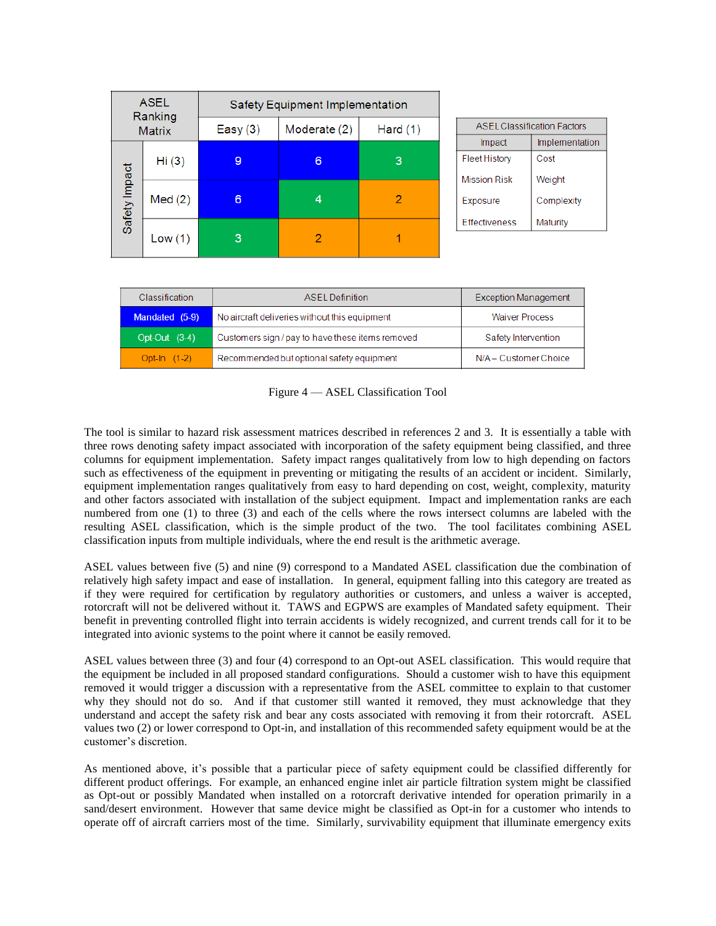| <b>ASEL</b><br>Ranking<br><b>Matrix</b> |        | Safety Equipment Implementation |              |            |
|-----------------------------------------|--------|---------------------------------|--------------|------------|
|                                         |        | Easy $(3)$                      | Moderate (2) | Hard $(1)$ |
| Safety Impact                           | Hi(3)  | 9                               | 6            | 3          |
|                                         | Med(2) | 6                               | 4            | 2          |
|                                         | Low(1) | 3                               |              |            |

| <b>ASEL Classification Factors</b> |                |  |  |  |
|------------------------------------|----------------|--|--|--|
| Impact                             | Implementation |  |  |  |
| Fleet History                      | Cost           |  |  |  |
| <b>Mission Risk</b>                | Weight         |  |  |  |
| Exposure                           | Complexity     |  |  |  |
| <b>Effectiveness</b>               | Maturity       |  |  |  |

| <b>Classification</b> | ASEL Definition                                  | <b>Exception Management</b> |  |
|-----------------------|--------------------------------------------------|-----------------------------|--|
| Mandated (5-9)        | No aircraft deliveries without this equipment    | <b>Waiver Process</b>       |  |
| Opt-Out $(3-4)$       | Customers sign / pay to have these items removed | Safety Intervention         |  |
| Opt-In $(1-2)$        | Recommended but optional safety equipment        | N/A - Customer Choice       |  |

Figure 4 — ASEL Classification Tool

The tool is similar to hazard risk assessment matrices described in references 2 and 3. It is essentially a table with three rows denoting safety impact associated with incorporation of the safety equipment being classified, and three columns for equipment implementation. Safety impact ranges qualitatively from low to high depending on factors such as effectiveness of the equipment in preventing or mitigating the results of an accident or incident. Similarly, equipment implementation ranges qualitatively from easy to hard depending on cost, weight, complexity, maturity and other factors associated with installation of the subject equipment. Impact and implementation ranks are each numbered from one (1) to three (3) and each of the cells where the rows intersect columns are labeled with the resulting ASEL classification, which is the simple product of the two. The tool facilitates combining ASEL classification inputs from multiple individuals, where the end result is the arithmetic average.

ASEL values between five (5) and nine (9) correspond to a Mandated ASEL classification due the combination of relatively high safety impact and ease of installation. In general, equipment falling into this category are treated as if they were required for certification by regulatory authorities or customers, and unless a waiver is accepted, rotorcraft will not be delivered without it. TAWS and EGPWS are examples of Mandated safety equipment. Their benefit in preventing controlled flight into terrain accidents is widely recognized, and current trends call for it to be integrated into avionic systems to the point where it cannot be easily removed.

ASEL values between three (3) and four (4) correspond to an Opt-out ASEL classification. This would require that the equipment be included in all proposed standard configurations. Should a customer wish to have this equipment removed it would trigger a discussion with a representative from the ASEL committee to explain to that customer why they should not do so. And if that customer still wanted it removed, they must acknowledge that they understand and accept the safety risk and bear any costs associated with removing it from their rotorcraft. ASEL values two (2) or lower correspond to Opt-in, and installation of this recommended safety equipment would be at the customer's discretion.

As mentioned above, it's possible that a particular piece of safety equipment could be classified differently for different product offerings. For example, an enhanced engine inlet air particle filtration system might be classified as Opt-out or possibly Mandated when installed on a rotorcraft derivative intended for operation primarily in a sand/desert environment. However that same device might be classified as Opt-in for a customer who intends to operate off of aircraft carriers most of the time. Similarly, survivability equipment that illuminate emergency exits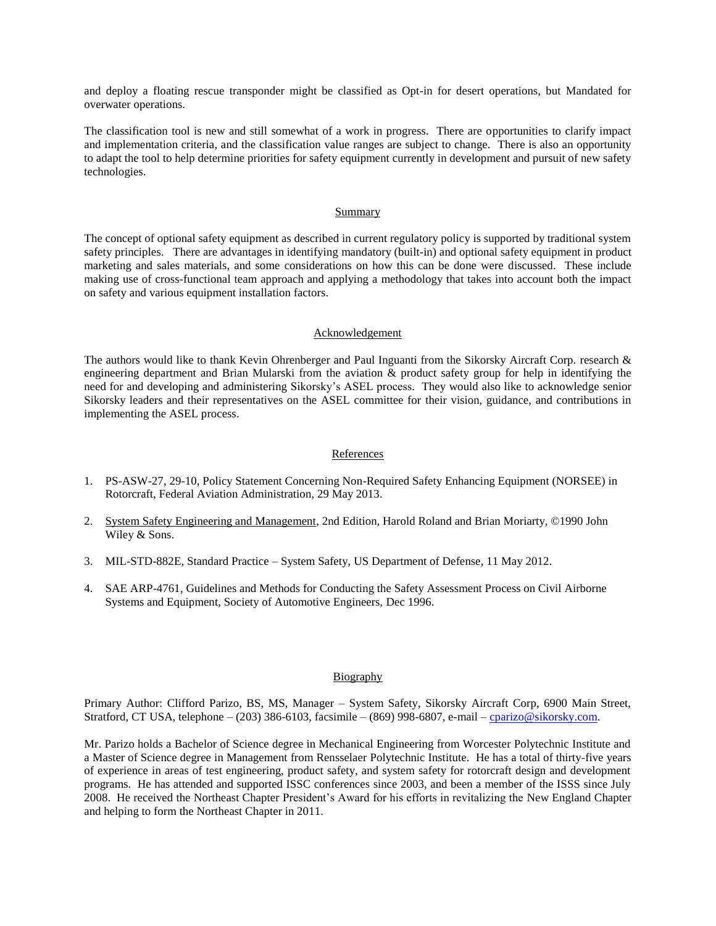and deploy a floating rescue transponder might be classified as Opt-in for desert operations, but Mandated for overwater operations.

The classification tool is new and still somewhat of a work in progress. There are opportunities to clarify impact and implementation criteria, and the classification value ranges are subject to change. There is also an opportunity to adapt the tool to help determine priorities for safety equipment currently in development and pursuit of new safety technologies.

### **Summary**

The concept of optional safety equipment as described in current regulatory policy is supported by traditional system safety principles. There are advantages in identifying mandatory (built-in) and optional safety equipment in product marketing and sales materials, and some considerations on how this can be done were discussed. These include making use of cross-functional team approach and applying a methodology that takes into account both the impact on safety and various equipment installation factors.

### Acknowledgement

The authors would like to thank Kevin Ohrenberger and Paul Inguanti from the Sikorsky Aircraft Corp. research & engineering department and Brian Mularski from the aviation & product safety group for help in identifying the need for and developing and administering Sikorsky's ASEL process. They would also like to acknowledge senior Sikorsky leaders and their representatives on the ASEL committee for their vision, guidance, and contributions in implementing the ASEL process.

## References

- 1. PS-ASW-27, 29-10, Policy Statement Concerning Non-Required Safety Enhancing Equipment (NORSEE) in Rotorcraft, Federal Aviation Administration, 29 May 2013.
- 2. System Safety Engineering and Management, 2nd Edition, Harold Roland and Brian Moriarty, ©1990 John Wiley & Sons.
- 3. MIL-STD-882E, Standard Practice System Safety, US Department of Defense, 11 May 2012.
- 4. SAE ARP-4761, Guidelines and Methods for Conducting the Safety Assessment Process on Civil Airborne Systems and Equipment, Society of Automotive Engineers, Dec 1996.

## Biography

Primary Author: Clifford Parizo, BS, MS, Manager – System Safety, Sikorsky Aircraft Corp, 6900 Main Street, Stratford, CT USA, telephone – (203) 386-6103, facsimile – (869) 998-6807, e-mail – [cparizo@sikorsky.com.](mailto:cparizo@sikorsky.com)

Mr. Parizo holds a Bachelor of Science degree in Mechanical Engineering from Worcester Polytechnic Institute and a Master of Science degree in Management from Rensselaer Polytechnic Institute. He has a total of thirty-five years of experience in areas of test engineering, product safety, and system safety for rotorcraft design and development programs. He has attended and supported ISSC conferences since 2003, and been a member of the ISSS since July 2008. He received the Northeast Chapter President's Award for his efforts in revitalizing the New England Chapter and helping to form the Northeast Chapter in 2011.